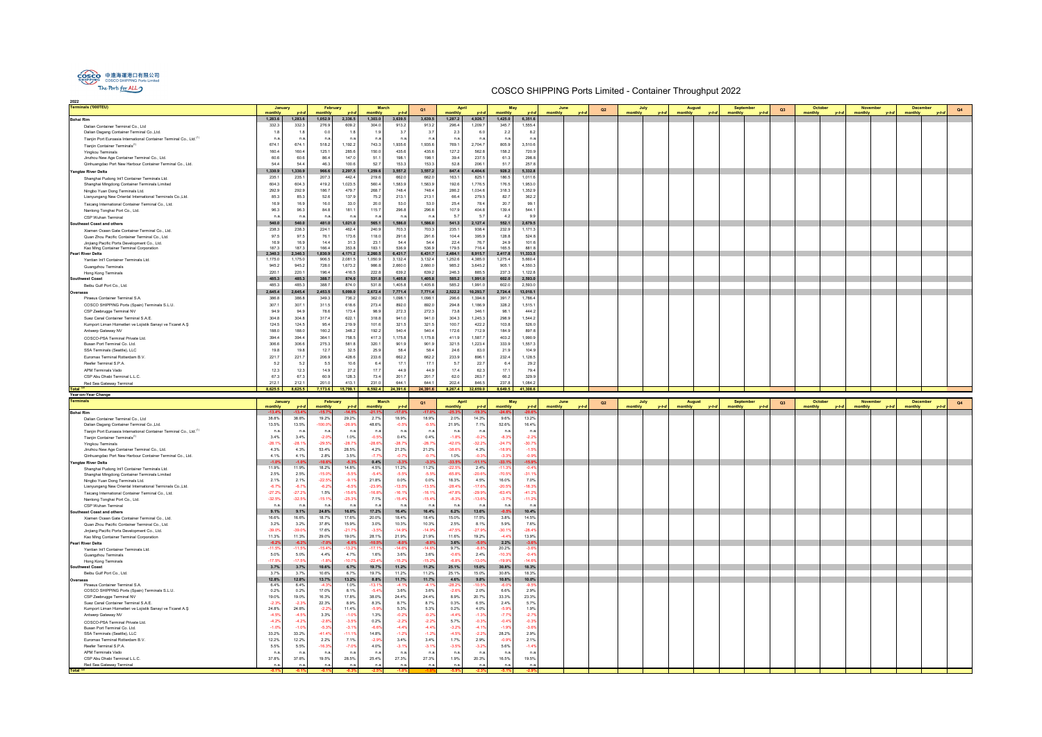| <b>Terminals ('000TEU)</b>                                                                      | January                 |                 | February           |                  | <b>March</b>       |                       | Q1                 | April                     |                  | May                  | June                |        | Q2 | July    |         | <b>August</b> | September | Q <sub>3</sub> |         | October | <b>Novembe</b> |         | <b>December</b> |       | Q4 |
|-------------------------------------------------------------------------------------------------|-------------------------|-----------------|--------------------|------------------|--------------------|-----------------------|--------------------|---------------------------|------------------|----------------------|---------------------|--------|----|---------|---------|---------------|-----------|----------------|---------|---------|----------------|---------|-----------------|-------|----|
|                                                                                                 | monthly<br>1,283.6      | 1,283.6         | nonthly<br>1,052.9 | 2,336.5          | nonthly<br>1,303.0 | 3,639.5               | 3,639.5            | nonthly<br>1,287.2        | 4,926.7          | monthly<br>1,425.0   | monthly<br>6,351.6  |        |    | monthly |         | monthly       | monthly   |                | monthly |         | monthly        |         | monthly         |       |    |
| <b>Bohai Rim</b>                                                                                | 332.3                   | 332.3           | 276.9              | 609.2            | 304.0              |                       | 913.2              | 296.4                     | 1,209.7          | 345.7                | 1,555.4             |        |    |         |         |               |           |                |         |         |                |         |                 |       |    |
| Dalian Container Terminal Co., Ltd                                                              | $-1.1$                  | $-1.1$          |                    | 1.8              | 1.9                | 913.2<br>3.7          | 3.7                |                           | 6.               |                      |                     |        |    |         |         |               |           |                |         |         |                |         |                 |       |    |
| Dalian Dagang Container Terminal Co., Ltd.                                                      | n <sub>s</sub>          | n.a             | 0.0<br>n.a.        | n.a.             | n.a                | $n.\epsilon$          | n.a.               | 2.3<br>n.a                | n.5              | 2.2<br>n.a           | 8.2<br>n.a          |        |    |         |         |               |           |                |         |         |                |         |                 |       |    |
| Tianjin Port Euroasia International Container Terminal Co., Ltd. <sup>(1)</sup>                 | 674.1                   | 674.1           | 518.2              | 1,192.2          | 743.3              | 1,935.6               | 1,935.6            | 769.1                     | 2,704.7          | 805.9                | 3,510.6             |        |    |         |         |               |           |                |         |         |                |         |                 |       |    |
| Tianjin Container Terminals <sup>(1)</sup>                                                      | 160.4                   | 160.4           | 125.1              | 285.6            | 150.0              | 435.6                 | 435.6              | 127.2                     | 562.8            | 158.2                | 720.9               |        |    |         |         |               |           |                |         |         |                |         |                 |       |    |
| <b>Yingkou Terminals</b><br>Jinzhou New Age Container Terminal Co., Ltd.                        | 60.6                    | 60.6            | 86.4               | 147.0            | 51.1               | 198.1                 | 198.1              | 39.4                      | 237.5            | 61.3                 | 298.8               |        |    |         |         |               |           |                |         |         |                |         |                 |       |    |
| Qinhuangdao Port New Harbour Container Terminal Co., Ltd.                                       | 54.4                    | 54.4            | 46.3               | 100.6            | 52.7               | 153.3                 | 153.3              | 52.8                      | 206.1            | 51.7                 | 257.8               |        |    |         |         |               |           |                |         |         |                |         |                 |       |    |
|                                                                                                 | 1,330.9                 | 1,330.9         |                    | 2,297.5          | 1,259.6            | 3,557.2               | 3,557.2            | 847.4                     | 4,404.6          | 928.2                | 5,332.8             |        |    |         |         |               |           |                |         |         |                |         |                 |       |    |
| <b>Yangtze River Delta</b>                                                                      | 235.1                   | 235.            | 966.6<br>207.3     | 442.4            | 219.6              | 662.0                 | 662.0              | 163.1                     | 825.1            | 186.5                | 1,011.6             |        |    |         |         |               |           |                |         |         |                |         |                 |       |    |
| Shanghai Pudong Int'l Container Terminals Ltd.                                                  | 604.3                   | 604.3           | 419.2              | 1,023.5          | 560.4              | 1,583.9               | 1,583.9            | 192.6                     | 1,776.5          | 176.5                | 1,953.0             |        |    |         |         |               |           |                |         |         |                |         |                 |       |    |
| Shanghai Mingdong Container Terminals Limited                                                   | 292.9                   | 292.9           | 186.7              | 479.7            | 268.7              | 748.4                 | 748.4              | 286.2                     | 1,034.6          | 318.3                | 1,352.9             |        |    |         |         |               |           |                |         |         |                |         |                 |       |    |
| Ningbo Yuan Dong Terminals Ltd.<br>Lianyungang New Oriental International Terminals Co., Ltd.   | 85.3                    | 85.3            | 52.6               | 137.9            | 75.2               | 213.1                 | 213.1              | 66.4                      | 279.5            | 82.7                 | 362.2               |        |    |         |         |               |           |                |         |         |                |         |                 |       |    |
|                                                                                                 | 16.9                    | 16.9            | 16.0               | 33.0             | 20.0               | 53.0                  | 53.0               | 25.4                      | 78.4             | 20.7                 | 99.1                |        |    |         |         |               |           |                |         |         |                |         |                 |       |    |
| Taicang International Container Terminal Co., Ltd.                                              | 96.3                    | 96.3            | 84.8               | 181.1            | 115.7              | 296.8                 | 296.8              | 107.9                     | 404.8            | 139.4                | 544.1               |        |    |         |         |               |           |                |         |         |                |         |                 |       |    |
| Nantong Tonghai Port Co., Ltd.                                                                  | n.a                     | n.a             | n.a.               | n.a.             | n.a                | $n.\epsilon$          | n.a                | 5.7                       | $-5$             | 4.2                  | 9.9                 |        |    |         |         |               |           |                |         |         |                |         |                 |       |    |
| CSP Wuhan Terminal                                                                              |                         | 540.0           |                    | 1,021.0          | 565.1              | 1,586.0               | 1,586.0            |                           | 2,127.4          | 552.1                | 2,679.5             |        |    |         |         |               |           |                |         |         |                |         |                 |       |    |
| <b>Southeast Coast and others</b>                                                               | 540.0<br>238.3          | 238.3           | 481.0<br>224.1     | 462.4            | 240.9              | 703.3                 | 703.3              | 541.3<br>235.1            | 938.4            | 232.9                | 1,171.3             |        |    |         |         |               |           |                |         |         |                |         |                 |       |    |
| Xiamen Ocean Gate Container Terminal Co., Ltd.                                                  | 97.5                    | 97.5            |                    | 173.6            |                    |                       |                    |                           |                  | 128.8                |                     |        |    |         |         |               |           |                |         |         |                |         |                 |       |    |
| Quan Zhou Pacific Container Terminal Co., Ltd.                                                  |                         | 16.             | 76.1<br>14.4       | 31.3             | 118.0<br>23.1      | 291.6<br>54.4         | 291.6<br>54.4      | 104.4                     | 395.9<br>76.7    |                      | 524.8               |        |    |         |         |               |           |                |         |         |                |         |                 |       |    |
| Jinjiang Pacific Ports Development Co., Ltd.<br>Kao Ming Container Terminal Corporation         | 16.9<br>187.3           | 187.3           | 166.4              | 353.8            | 183.1              | 536.9                 | 536.9              | 22.4<br>179.5             | 716.4            | 24.9<br>165.5        | 101.6<br>881.8      |        |    |         |         |               |           |                |         |         |                |         |                 |       |    |
| <b>Pearl River Delta</b>                                                                        | 2,340.3                 | 2,340.3         | 1,830.9            | 4,171.2          | 2,260.5            | 6,431.7               | 6,431.7            | 2,484.1                   | 8,915.7          | 2,417.8              | 11,333.5            |        |    |         |         |               |           |                |         |         |                |         |                 |       |    |
| Yantian Int'l Container Terminals Ltd.                                                          | 1,175.0                 | 1,175.0         | 906.5              | 2,081.5          | 1,050.9            | 3,132.4               | 3,132.4            | 1,252.6                   | 4,385.0          | 1,275.4              | 5,660.4             |        |    |         |         |               |           |                |         |         |                |         |                 |       |    |
| Guangzhou Terminals                                                                             | 945.2                   | 945.2           | 728.0              | 1,673.2          | 986.8              | 2,660.0               | 2,660.0            | 985.2                     | 3,645.2          | 905.1                | 4,550.3             |        |    |         |         |               |           |                |         |         |                |         |                 |       |    |
| Hong Kong Terminals                                                                             | 220.1                   | 220.7           | 196.4              | 416.5            | 222.8              | 639.2                 | 639.2              | 246.3                     | 885.5            | 237.3                | 1,122.8             |        |    |         |         |               |           |                |         |         |                |         |                 |       |    |
| <b>Southwest Coast</b>                                                                          | 485.3                   | 485.3           | 388.7              | 874.0            | 531.8              | 1,405.8               | 1,405.8            | 585.2                     | 1,991.0          | 602.0                | 2,593.0             |        |    |         |         |               |           |                |         |         |                |         |                 |       |    |
| Beibu Gulf Port Co., Ltd.                                                                       | 485.3                   | 485.3           | 388.7              | 874.0            | 531.8              | 1,405.8               | 1,405.8            | 585.2                     | 1,991.0          | 602.0                | 2,593.0             |        |    |         |         |               |           |                |         |         |                |         |                 |       |    |
| Overseas                                                                                        | 2,645.4                 | 2,645.4         | 2,453.5            | 5,099.0          | 2,672.4            | 7,771.4               | 7,771.4            | 2,522.2                   | 10,293.7         | 2,724.4              | 13,018.1            |        |    |         |         |               |           |                |         |         |                |         |                 |       |    |
| Piraeus Container Terminal S.A.                                                                 | 386.8                   | 386.8           | 349.3              | 736.2            | 362.0              | 1,098.1               | 1,098.1            | 296.6                     | 1,394.8          | 391.7                | 1,786.4             |        |    |         |         |               |           |                |         |         |                |         |                 |       |    |
| COSCO SHIPPING Ports (Spain) Terminals S.L.U.                                                   | 307.1                   | 307.            | 311.5              | 618.6            | 273.4              | 892.0                 | 892.0              | 294.8                     | 1,186.9          | 328.2                | 1,515.1             |        |    |         |         |               |           |                |         |         |                |         |                 |       |    |
| CSP Zeebrugge Terminal NV                                                                       | 94.9                    | 94.             | 78.6               | 173.4            | 98.9               | 272.3                 | 272.3              | 73.8                      | 346.1            | 98.1                 | 444.2               |        |    |         |         |               |           |                |         |         |                |         |                 |       |    |
| Suez Canal Container Terminal S.A.E.                                                            | 304.8                   | 304.8           | 317.4              | 622.1            | 318.8              | 941.0                 | 941.0              | 304.3                     | 1,245.3          | 298.9                | 1,544.2             |        |    |         |         |               |           |                |         |         |                |         |                 |       |    |
| Kumport Liman Hizmetleri ve Lojistik Sanayi ve Ticaret A.Ş                                      | 124.5                   | 124.5           | 95.4               | 219.9            | 101.6              | 321.5                 | 321.5              | 100.7                     | 422.2            | 103.8                | 526.0               |        |    |         |         |               |           |                |         |         |                |         |                 |       |    |
| Antwerp Gateway NV                                                                              | 188.0                   | 188.0           | 160.2              | 348.2            | 192.2              | 540.4                 | 540.4              | 172.6                     | 712.9            | 184.9                | 897.8               |        |    |         |         |               |           |                |         |         |                |         |                 |       |    |
| COSCO-PSA Terminal Private Ltd.                                                                 | 394.4                   | 394.4           | 364.1              | 758.5            | 417.3              | 1,175.8               | 1,175.8            | 411.9                     | 1,587.7          | 403.2                | 1,990.9             |        |    |         |         |               |           |                |         |         |                |         |                 |       |    |
| Busan Port Terminal Co. Ltd.                                                                    | 306.6                   | 306.6           | 275.3              | 581.8            | 320.1              | 901.9                 | 901.9              | 321.5                     | 1,223.4          | 333.9                | 1,557.3             |        |    |         |         |               |           |                |         |         |                |         |                 |       |    |
| SSA Terminals (Seattle), LLC                                                                    | 19.8                    | 19.8            | 12.7               | 32.5             | 25.9               | 58.4                  | 58.4               | 24.6                      | 83.0             | 21.9                 | 104.9               |        |    |         |         |               |           |                |         |         |                |         |                 |       |    |
| Euromax Terminal Rotterdam B.V.                                                                 | 221.7                   | 221.7           | 206.9              | 428.6            | 233.6              | 662.2                 | 662.2              | 233.9                     | 896.1            | 232.4                | 1,128.5             |        |    |         |         |               |           |                |         |         |                |         |                 |       |    |
| Reefer Terminal S.P.A.                                                                          | 5.2                     | $-5.2$          | 5.5                | 10.6             | 6.4                | 17.1                  | 17.1               | -5.7                      | 22.7             | 6.4                  | 29.2                |        |    |         |         |               |           |                |         |         |                |         |                 |       |    |
| <b>APM Terminals Vado</b>                                                                       | 12.3                    | 12.3            | 14.9               | 27.2             | 17.7               | 44.9                  | 44.9               | 17.4                      | 62.3             | 17.1                 | 79.4                |        |    |         |         |               |           |                |         |         |                |         |                 |       |    |
| CSP Abu Dhabi Terminal L.L.C.                                                                   | 67.3                    | 67.             | 60.9               | 128.3            | 73.4               | 201.7                 | 201.7              | 62.0                      | 263.7            | 66.2                 | 329.9               |        |    |         |         |               |           |                |         |         |                |         |                 |       |    |
| Red Sea Gateway Terminal                                                                        | 212.1                   | 212.            | 201.0              | 413.1            | 231.0              | 644.1                 | 644.1              | 202.4                     | 846.5            | 237.8                | 1,084.2             |        |    |         |         |               |           |                |         |         |                |         |                 |       |    |
|                                                                                                 |                         |                 |                    |                  |                    |                       |                    |                           |                  |                      |                     |        |    |         |         |               |           |                |         |         |                |         |                 |       |    |
| Total <sup>(2)</sup>                                                                            | 8,625.5                 | 8,625.5         | 7,173.6            | 15,799.1         |                    | 8,592.4 24,391.6      |                    | 24,391.6 8,267.4 32,659.0 |                  | 8,649.5 41,308.6     |                     |        |    |         |         |               |           |                |         |         |                |         |                 |       |    |
| Year-on-Year Change                                                                             |                         |                 |                    |                  |                    |                       |                    |                           |                  |                      |                     |        |    |         |         |               |           |                |         |         |                |         |                 |       |    |
| <b>Terminals</b>                                                                                | January                 |                 | February           |                  | <b>March</b>       |                       | Q1                 | April                     |                  | May                  |                     | June   | Q2 | July    |         | <b>August</b> | September | Q3             |         | October | November       |         | <b>December</b> |       | Q4 |
|                                                                                                 | monthly                 |                 | monthly            | v-t-d            | monthly            | $v-t-$                |                    | monthly                   | $v-t$            | monthly              | monthly             | $L$ ta |    | monthly | $v-t-a$ | monthly       | monthly   |                | monthly |         | monthly        | $v-t-d$ | monthly         | $V-f$ |    |
| <b>Bohai Rim</b>                                                                                | $-13.49$                | $-13.4$         | $-15.7%$           | $-14.5$          | $-21.1$            | $-17.0$               | $-17.0$            |                           | $-19.3$          | $-24.6%$             | $-20.6%$            |        |    |         |         |               |           |                |         |         |                |         |                 |       |    |
| Dalian Container Terminal Co., Ltd                                                              | 38.8%                   | 38.8%           | 19.2%              | 29.2%            | 2.7%               | 18.9%                 | 18.9%              | 2.0%                      | 14.3%            | 9.6%                 | 13.2%               |        |    |         |         |               |           |                |         |         |                |         |                 |       |    |
| Dalian Dagang Container Terminal Co., Ltd.                                                      | 13.5%                   | 13.5%           | $-100.0%$          | $-26.9%$         | 48.6%              | $-0.5%$               | $-0.5%$            | 21.9%                     | 7.1%             | 52.6%                | 16.4%               |        |    |         |         |               |           |                |         |         |                |         |                 |       |    |
| Tianjin Port Euroasia International Container Terminal Co., Ltd. <sup>(1)</sup>                 | $n.\epsilon$            | n.a             | n.a.               | n.a.             | n.a                | n.a.                  | n.a.               | n.a                       | n.a              | n.a                  | n.a                 |        |    |         |         |               |           |                |         |         |                |         |                 |       |    |
| Tianjin Container Terminals <sup>(1)</sup>                                                      | 3.4%                    | 3.4%            | $-2.0%$            | 1.0%             | $-0.5%$            | 0.4%                  | 0.4%               | $-1.89$                   | $-0.29$          | $-8.39$              | $-2.29$             |        |    |         |         |               |           |                |         |         |                |         |                 |       |    |
| <b>Yingkou Terminals</b>                                                                        | $-28.19$                | $-28.1%$        | $-29.5%$           | $-28.7%$         | $-28.69$           | $-28.79$              | $-28.79$           | $-42.0%$                  | $-32.2%$         | $-24.7%$             | $-30.79$            |        |    |         |         |               |           |                |         |         |                |         |                 |       |    |
| Jinzhou New Age Container Terminal Co., Ltd.                                                    | 4.3%                    | 4.3%            | 53.4%              | 28.5%            | 4.2%<br>$-7.7$     | 21.2%                 | 21.2%              | $-38.6%$                  | 4.3%             | $-18.99$             | $-1.5%$             |        |    |         |         |               |           |                |         |         |                |         |                 |       |    |
| Qinhuangdao Port New Harbour Container Terminal Co., Ltd.                                       | 4.1%                    | 4.1%<br>$-1.0$  | 2.8%               | 3.5%<br>$-5.3%$  |                    | $-0.79$               | $-0.79$<br>$-3.3'$ | 1.0%<br>$-33.5$           | $-0.39$          | $-3.39$              | $-0.9%$<br>$-15.9%$ |        |    |         |         |               |           |                |         |         |                |         |                 |       |    |
| <b>Yangtze River Delta</b>                                                                      | $-1.09$<br>11.9%        | 11.9%           | $-10.6%$<br>18.2%  | 14.8%            | 0.4%<br>4.5%       | $-3.3%$<br>11.2%      | 11.2%              | $-22.5$                   | $-11.19$<br>2.4% | $-33.1%$<br>$-11.3$  | $-0.4%$             |        |    |         |         |               |           |                |         |         |                |         |                 |       |    |
| Shanghai Pudong Int'l Container Terminals Ltd.<br>Shanghai Mingdong Container Terminals Limited | 2.5%                    | 2.5%            | $-15.0%$           | $-5.5%$          | $-5.4$             | $-5.59$               | $-5.5'$            | $-65.8^{\circ}$           | $-20.69$         | $-70.59$             | $-31.19$            |        |    |         |         |               |           |                |         |         |                |         |                 |       |    |
| Ningbo Yuan Dong Terminals Ltd.                                                                 | 2.1%                    | 2.1%            | $-22.5%$           | $-9.1%$          | 21.8%              | 0.0%                  | 0.0%               | 18.3%                     | 4.5%             | 16.0%                | 7.0%                |        |    |         |         |               |           |                |         |         |                |         |                 |       |    |
| Lianyungang New Oriental International Terminals Co., Ltd.                                      | $-6.79$                 | $-6.7$          | $-6.29$            | $-6.5%$          | $-23.9$            | $-13.59$              | $-13.5%$           | $-28.49$                  | $-17.69$         | $-20.5$              | $-18.39$            |        |    |         |         |               |           |                |         |         |                |         |                 |       |    |
| Taicang International Container Terminal Co., Ltd.                                              | $-27.29$                | $-27.2$         | 1.5%               | $-15.6%$         | $-16.89$           | $-16.19$              | $-16.1$            | $-47.8%$                  | $-29.9%$         | $-63.49$             | $-41.2%$            |        |    |         |         |               |           |                |         |         |                |         |                 |       |    |
| Nantong Tonghai Port Co., Ltd.                                                                  | $-32.5%$                | $-32.5$         | $-15.1%$           | $-25.3%$         | 7.1%               | $-15.4%$              | $-15.4%$           | $-8.3%$                   | $-13.6%$         | $-3.7%$              | $-11.2%$            |        |    |         |         |               |           |                |         |         |                |         |                 |       |    |
| CSP Wuhan Terminal                                                                              | $n.\epsilon$            | n.a             | n.a.               | n.a.             | n.a                | $n.\epsilon$          | n.a.               | n.a                       | $n.\epsilon$     | n.a.                 | n.a.                |        |    |         |         |               |           |                |         |         |                |         |                 |       |    |
| <b>Southeast Coast and others</b>                                                               | 9.1%                    | 9.1%            | 24.8%              | 16.0%            | 17.2%              | 16.4%                 | 16.4%              | 6.2%                      | 13.6%            | $-0.5%$              | 10.4%               |        |    |         |         |               |           |                |         |         |                |         |                 |       |    |
| Xiamen Ocean Gate Container Terminal Co., Ltd.                                                  | 16.6%                   | 16.6%           | 18.7%              | 17.6%            | 20.0%              | 18.4%                 | 18.4%              | 15.0%                     | 17.5%            | 3.8%                 | 14.5%               |        |    |         |         |               |           |                |         |         |                |         |                 |       |    |
| Quan Zhou Pacific Container Terminal Co., Ltd.                                                  | 3.2%                    | 3.2%            | 37.8%              | 15.9%            | 3.0%               | 10.3%                 | 10.3%              | 2.5%                      | 8.1%             | 5.9%                 | 7.6%                |        |    |         |         |               |           |                |         |         |                |         |                 |       |    |
| Jinjiang Pacific Ports Development Co., Ltd.                                                    | $-39.09$                | $-39.09$        | 17.6%              | $-21.7%$         | $-3.5%$            | $-14.9%$              | $-14.9%$           | $-47.5%$                  | $-27.99$         | $-30.1%$             | $-28.4%$            |        |    |         |         |               |           |                |         |         |                |         |                 |       |    |
| Kao Ming Container Terminal Corporation                                                         | 11.3%                   | 11.3%           | 29.0%              | 19.0%            | 28.1%              | 21.9%                 | 21.9%              | 11.6%                     | 19.2%            | $-4.4%$              | 13.9%               |        |    |         |         |               |           |                |         |         |                |         |                 |       |    |
| <b>Pearl River Delta</b>                                                                        | $-6.2$                  | $-6.2%$         | $-7.0%$            | $-6.6%$          | $-10.59$           | $-8.0$                | $-8.0$             | 3.6%                      | $-5.0%$          | 2.2%                 | $-3.6%$             |        |    |         |         |               |           |                |         |         |                |         |                 |       |    |
| Yantian Int'l Container Terminals Ltd.                                                          | $-11.59$                | $-11.59$        | $-15.4%$           | $-13.2%$         | $-17.19$           | $-14.69$              | $-14.69$           | 9.7%                      | $-8.8%$          | 20.2%                | $-3.6%$             |        |    |         |         |               |           |                |         |         |                |         |                 |       |    |
| <b>Guangzhou Terminals</b>                                                                      | 5.0%<br>$-17.59$        | 5.0%<br>$-17.5$ | 4.4%<br>$-1.8%$    | 4.7%<br>$-10.7%$ | 1.6%<br>$-22.49$   | 3.6%<br>$-15.29$      | 3.6%<br>$-15.29$   | $-0.6%$<br>$-6.8^{\circ}$ | 2.4%<br>$-13.09$ | $-10.39$<br>$-19.99$ | $-0.4%$<br>$-14.6%$ |        |    |         |         |               |           |                |         |         |                |         |                 |       |    |
| Hong Kong Terminals<br><b>Southwest Coast</b>                                                   | 3.7%                    | 3.7%            | 10.6%              | 6.7%             | 19.7%              | 11.2%                 | 11.2%              | 25.1%                     | 15.0%            | 30.8%                | 18.3%               |        |    |         |         |               |           |                |         |         |                |         |                 |       |    |
| Beibu Gulf Port Co., Ltd.                                                                       | 3.7%                    | 3.7%            | 10.6%              | 6.7%             | 19.7%              | 11.2%                 | 11.2%              | 25.1%                     | 15.0%            | 30.8%                | 18.3%               |        |    |         |         |               |           |                |         |         |                |         |                 |       |    |
| Overseas                                                                                        | 12.8%                   | 12.8%           | 13.7%              | 13.2%            | 8.8%               | 11.7%                 | 11.7%              | 4.6%                      | 9.8%             | 10.8%                | 10.0%               |        |    |         |         |               |           |                |         |         |                |         |                 |       |    |
| Piraeus Container Terminal S.A.                                                                 | 6.4%                    | 6.4%            | $-4.39$            | 1.0%             | $-13.1$            | $-4.1$                | $-4.1$             | $-28.2^{\circ}$           | 10.5             | -6.0                 | $-9.5^{\circ}$      |        |    |         |         |               |           |                |         |         |                |         |                 |       |    |
| COSCO SHIPPING Ports (Spain) Terminals S.L.U.                                                   | 0.2%                    | 0.2%            | 17.0%              | 8.1%             | $-5.49$            | 3.6%                  | 3.6%               | $-2.6%$                   | 2.0%             | 6.6%                 | 2.9%                |        |    |         |         |               |           |                |         |         |                |         |                 |       |    |
| CSP Zeebrugge Terminal NV                                                                       | 19.0%                   | 19.0%           | 16.3%              | 17.8%            | 38.0%              | 24.4%                 | 24.4%              | 8.9%                      | 20.7%            | 33.3%                | 23.3%               |        |    |         |         |               |           |                |         |         |                |         |                 |       |    |
| Suez Canal Container Terminal S.A.E.                                                            | $-2.39$                 | $-2.39$         | 22.3%              | 8.9%             | 8.3%               | 8.7%                  | 8.7%               | 0.3%                      | 6.5%             | 2.4%                 | 5.7%                |        |    |         |         |               |           |                |         |         |                |         |                 |       |    |
| Kumport Liman Hizmetleri ve Lojistik Sanayi ve Ticaret A.Ş                                      | 24.8%                   | 24.8%           | $-2.2%$            | 11.4%            | $-5.9%$            | 5.3%                  | 5.3%               | 0.2%                      | 4.0%             | $-5.9%$              | 1.9%                |        |    |         |         |               |           |                |         |         |                |         |                 |       |    |
| Antwerp Gateway NV                                                                              | $-4.5%$                 | $-4.5$          | 3.3%               | $-1.0%$          | 1.3%               | $-0.29$               | $-0.2%$            | $-4.4%$                   | $-1.39$          | $-7.7%$              | $-2.7%$             |        |    |         |         |               |           |                |         |         |                |         |                 |       |    |
| COSCO-PSA Terminal Private Ltd.                                                                 | $-4.2%$                 | $-4.2%$         | $-2.8%$            | $-3.5%$          | 0.2%               | $-2.2%$               | $-2.2%$            | 5.7%                      | $-0.3%$          | $-0.4%$              | $-0.3%$             |        |    |         |         |               |           |                |         |         |                |         |                 |       |    |
| Busan Port Terminal Co. Ltd.                                                                    | $-1.09$                 | $-1.0%$         | $-5.3%$            | $-3.1%$          | $-6.69$            | $-4.4%$               | $-4.4%$            | $-3.2%$                   | $-4.19$          | $-1.9%$              | $-3.6%$             |        |    |         |         |               |           |                |         |         |                |         |                 |       |    |
| SSA Terminals (Seattle), LLC                                                                    | 33.2%                   | 33.2%           | $-41.4%$           | $-11.1%$         | 14.8%              | $-1.29$               | $-1.2%$            | $-4.5%$                   | $-2.2%$          | 28.2%                | 2.9%                |        |    |         |         |               |           |                |         |         |                |         |                 |       |    |
| Euromax Terminal Rotterdam B.V.                                                                 | 12.2%                   | 12.2%           | 2.2%               | 7.1%             | $-2.99$            | 3.4%                  | 3.4%               | 1.7%                      | 2.9%             | $-0.9%$              | 2.1%                |        |    |         |         |               |           |                |         |         |                |         |                 |       |    |
| Reefer Terminal S.P.A.                                                                          | 5.5%                    | 5.5%            | $-16.3%$           | $-7.0%$          | 4.0%               | $-3.19$               | $-3.1%$            | $-3.5%$                   | $-3.2%$          | 5.6%                 | $-1.4%$             |        |    |         |         |               |           |                |         |         |                |         |                 |       |    |
| APM Terminals Vado                                                                              | n.a                     | n.a             | n.a.               | n.a.             | $n_i$              | $n.\epsilon$          | n.a                | n.a                       | n.a              | n.a                  | n.a                 |        |    |         |         |               |           |                |         |         |                |         |                 |       |    |
| CSP Abu Dhabi Terminal L.L.C.<br>Red Sea Gateway Terminal                                       | 37.8%<br>n <sub>s</sub> | 37.8%<br>n.e    | 19.5%<br>n.a.      | 28.5%<br>n.a.    | 25.4%<br>n.a       | 27.3%<br>$n.\epsilon$ | 27.3%<br>n.a.      | 1.9%<br>n.a               | 20.3%<br>n.5     | 16.5%<br>n.a         | 19.5%<br>n.a.       |        |    |         |         |               |           |                |         |         |                |         |                 |       |    |



COSCO SHIPPING Ports Limited - Container Throughput 2022